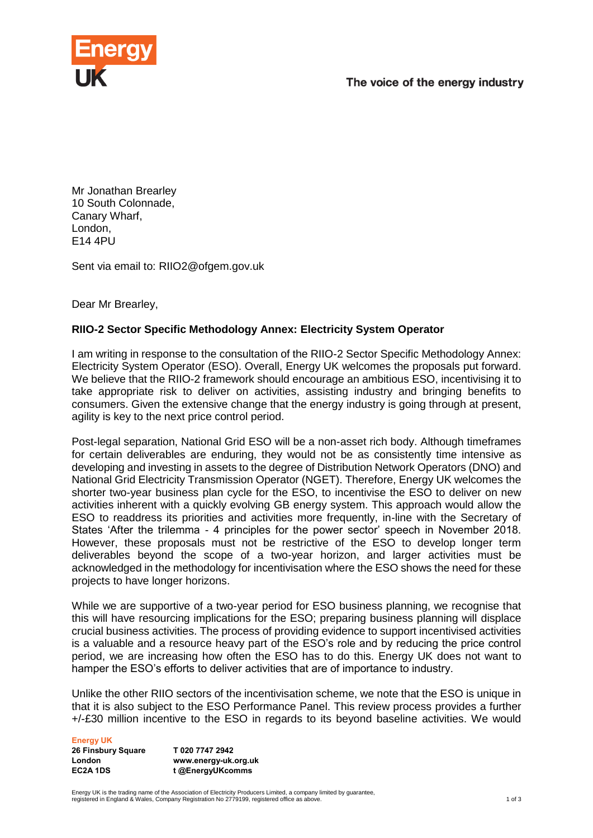



Mr Jonathan Brearley 10 South Colonnade, Canary Wharf, London, E14 4PU

Sent via email to: RIIO2@ofgem.gov.uk

Dear Mr Brearley,

## **RIIO-2 Sector Specific Methodology Annex: Electricity System Operator**

I am writing in response to the consultation of the RIIO-2 Sector Specific Methodology Annex: Electricity System Operator (ESO). Overall, Energy UK welcomes the proposals put forward. We believe that the RIIO-2 framework should encourage an ambitious ESO, incentivising it to take appropriate risk to deliver on activities, assisting industry and bringing benefits to consumers. Given the extensive change that the energy industry is going through at present, agility is key to the next price control period.

Post-legal separation, National Grid ESO will be a non-asset rich body. Although timeframes for certain deliverables are enduring, they would not be as consistently time intensive as developing and investing in assets to the degree of Distribution Network Operators (DNO) and National Grid Electricity Transmission Operator (NGET). Therefore, Energy UK welcomes the shorter two-year business plan cycle for the ESO, to incentivise the ESO to deliver on new activities inherent with a quickly evolving GB energy system. This approach would allow the ESO to readdress its priorities and activities more frequently, in-line with the Secretary of States 'After the trilemma - 4 principles for the power sector' speech in November 2018. However, these proposals must not be restrictive of the ESO to develop longer term deliverables beyond the scope of a two-year horizon, and larger activities must be acknowledged in the methodology for incentivisation where the ESO shows the need for these projects to have longer horizons.

While we are supportive of a two-year period for ESO business planning, we recognise that this will have resourcing implications for the ESO; preparing business planning will displace crucial business activities. The process of providing evidence to support incentivised activities is a valuable and a resource heavy part of the ESO's role and by reducing the price control period, we are increasing how often the ESO has to do this. Energy UK does not want to hamper the ESO's efforts to deliver activities that are of importance to industry.

Unlike the other RIIO sectors of the incentivisation scheme, we note that the ESO is unique in that it is also subject to the ESO Performance Panel. This review process provides a further +/-£30 million incentive to the ESO in regards to its beyond baseline activities. We would

**Energy UK**

**26 Finsbury Square London EC2A 1DS**

**T 020 7747 2942 www.energy-uk.org.uk t @EnergyUKcomms**

Energy UK is the trading name of the Association of Electricity Producers Limited, a company limited by guarantee, registered in England & Wales, Company Registration No 2779199, registered office as above. 1 of 3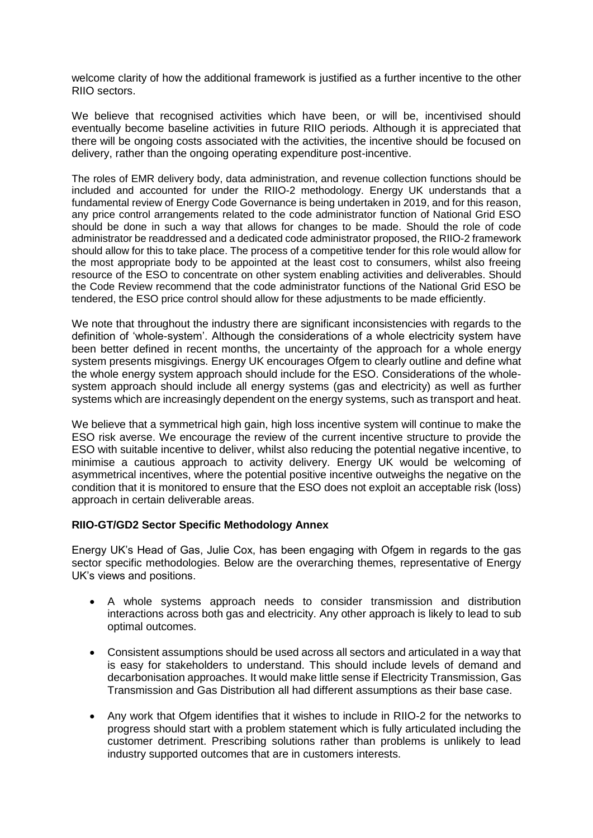welcome clarity of how the additional framework is justified as a further incentive to the other RIIO sectors.

We believe that recognised activities which have been, or will be, incentivised should eventually become baseline activities in future RIIO periods. Although it is appreciated that there will be ongoing costs associated with the activities, the incentive should be focused on delivery, rather than the ongoing operating expenditure post-incentive.

The roles of EMR delivery body, data administration, and revenue collection functions should be included and accounted for under the RIIO-2 methodology. Energy UK understands that a fundamental review of Energy Code Governance is being undertaken in 2019, and for this reason, any price control arrangements related to the code administrator function of National Grid ESO should be done in such a way that allows for changes to be made. Should the role of code administrator be readdressed and a dedicated code administrator proposed, the RIIO-2 framework should allow for this to take place. The process of a competitive tender for this role would allow for the most appropriate body to be appointed at the least cost to consumers, whilst also freeing resource of the ESO to concentrate on other system enabling activities and deliverables. Should the Code Review recommend that the code administrator functions of the National Grid ESO be tendered, the ESO price control should allow for these adjustments to be made efficiently.

We note that throughout the industry there are significant inconsistencies with regards to the definition of 'whole-system'. Although the considerations of a whole electricity system have been better defined in recent months, the uncertainty of the approach for a whole energy system presents misgivings. Energy UK encourages Ofgem to clearly outline and define what the whole energy system approach should include for the ESO. Considerations of the wholesystem approach should include all energy systems (gas and electricity) as well as further systems which are increasingly dependent on the energy systems, such as transport and heat.

We believe that a symmetrical high gain, high loss incentive system will continue to make the ESO risk averse. We encourage the review of the current incentive structure to provide the ESO with suitable incentive to deliver, whilst also reducing the potential negative incentive, to minimise a cautious approach to activity delivery. Energy UK would be welcoming of asymmetrical incentives, where the potential positive incentive outweighs the negative on the condition that it is monitored to ensure that the ESO does not exploit an acceptable risk (loss) approach in certain deliverable areas.

## **RIIO-GT/GD2 Sector Specific Methodology Annex**

Energy UK's Head of Gas, Julie Cox, has been engaging with Ofgem in regards to the gas sector specific methodologies. Below are the overarching themes, representative of Energy UK's views and positions.

- A whole systems approach needs to consider transmission and distribution interactions across both gas and electricity. Any other approach is likely to lead to sub optimal outcomes.
- Consistent assumptions should be used across all sectors and articulated in a way that is easy for stakeholders to understand. This should include levels of demand and decarbonisation approaches. It would make little sense if Electricity Transmission, Gas Transmission and Gas Distribution all had different assumptions as their base case.
- Any work that Ofgem identifies that it wishes to include in RIIO-2 for the networks to progress should start with a problem statement which is fully articulated including the customer detriment. Prescribing solutions rather than problems is unlikely to lead industry supported outcomes that are in customers interests.